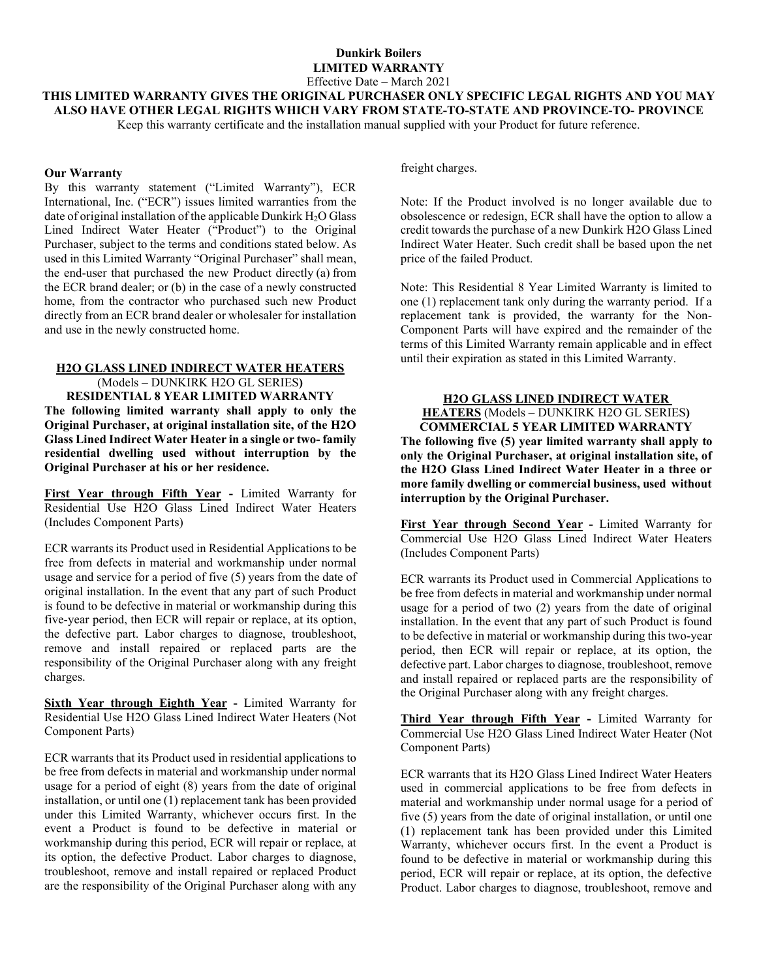## **Dunkirk Boilers LIMITED WARRANTY**

Effective Date – March 2021

**THIS LIMITED WARRANTY GIVES THE ORIGINAL PURCHASER ONLY SPECIFIC LEGAL RIGHTS AND YOU MAY ALSO HAVE OTHER LEGAL RIGHTS WHICH VARY FROM STATE-TO-STATE AND PROVINCE-TO- PROVINCE**

Keep this warranty certificate and the installation manual supplied with your Product for future reference.

### **Our Warranty**

By this warranty statement ("Limited Warranty"), ECR International, Inc. ("ECR") issues limited warranties from the date of original installation of the applicable Dunkirk H<sub>2</sub>O Glass Lined Indirect Water Heater ("Product") to the Original Purchaser, subject to the terms and conditions stated below. As used in this Limited Warranty "Original Purchaser" shall mean, the end-user that purchased the new Product directly (a) from the ECR brand dealer; or (b) in the case of a newly constructed home, from the contractor who purchased such new Product directly from an ECR brand dealer or wholesaler for installation and use in the newly constructed home.

### **H2O GLASS LINED INDIRECT WATER HEATERS**

(Models – DUNKIRK H2O GL SERIES**) RESIDENTIAL 8 YEAR LIMITED WARRANTY The following limited warranty shall apply to only the Original Purchaser, at original installation site, of the H2O Glass Lined Indirect Water Heater in a single or two- family residential dwelling used without interruption by the Original Purchaser at his or her residence.**

**First Year through Fifth Year -** Limited Warranty for Residential Use H2O Glass Lined Indirect Water Heaters (Includes Component Parts)

ECR warrants its Product used in Residential Applications to be free from defects in material and workmanship under normal usage and service for a period of five (5) years from the date of original installation. In the event that any part of such Product is found to be defective in material or workmanship during this five-year period, then ECR will repair or replace, at its option, the defective part. Labor charges to diagnose, troubleshoot, remove and install repaired or replaced parts are the responsibility of the Original Purchaser along with any freight charges.

**Sixth Year through Eighth Year -** Limited Warranty for Residential Use H2O Glass Lined Indirect Water Heaters (Not Component Parts)

ECR warrants that its Product used in residential applications to be free from defects in material and workmanship under normal usage for a period of eight (8) years from the date of original installation, or until one (1) replacement tank has been provided under this Limited Warranty, whichever occurs first. In the event a Product is found to be defective in material or workmanship during this period, ECR will repair or replace, at its option, the defective Product. Labor charges to diagnose, troubleshoot, remove and install repaired or replaced Product are the responsibility of the Original Purchaser along with any

freight charges.

Note: If the Product involved is no longer available due to obsolescence or redesign, ECR shall have the option to allow a credit towards the purchase of a new Dunkirk H2O Glass Lined Indirect Water Heater. Such credit shall be based upon the net price of the failed Product.

Note: This Residential 8 Year Limited Warranty is limited to one (1) replacement tank only during the warranty period. If a replacement tank is provided, the warranty for the Non-Component Parts will have expired and the remainder of the terms of this Limited Warranty remain applicable and in effect until their expiration as stated in this Limited Warranty.

## **H2O GLASS LINED INDIRECT WATER**

**HEATERS** (Models – DUNKIRK H2O GL SERIES**) COMMERCIAL 5 YEAR LIMITED WARRANTY**

**The following five (5) year limited warranty shall apply to only the Original Purchaser, at original installation site, of the H2O Glass Lined Indirect Water Heater in a three or more family dwelling or commercial business, used without interruption by the Original Purchaser.**

**First Year through Second Year -** Limited Warranty for Commercial Use H2O Glass Lined Indirect Water Heaters (Includes Component Parts)

ECR warrants its Product used in Commercial Applications to be free from defects in material and workmanship under normal usage for a period of two (2) years from the date of original installation. In the event that any part of such Product is found to be defective in material or workmanship during this two-year period, then ECR will repair or replace, at its option, the defective part. Labor charges to diagnose, troubleshoot, remove and install repaired or replaced parts are the responsibility of the Original Purchaser along with any freight charges.

**Third Year through Fifth Year -** Limited Warranty for Commercial Use H2O Glass Lined Indirect Water Heater (Not Component Parts)

ECR warrants that its H2O Glass Lined Indirect Water Heaters used in commercial applications to be free from defects in material and workmanship under normal usage for a period of five (5) years from the date of original installation, or until one (1) replacement tank has been provided under this Limited Warranty, whichever occurs first. In the event a Product is found to be defective in material or workmanship during this period, ECR will repair or replace, at its option, the defective Product. Labor charges to diagnose, troubleshoot, remove and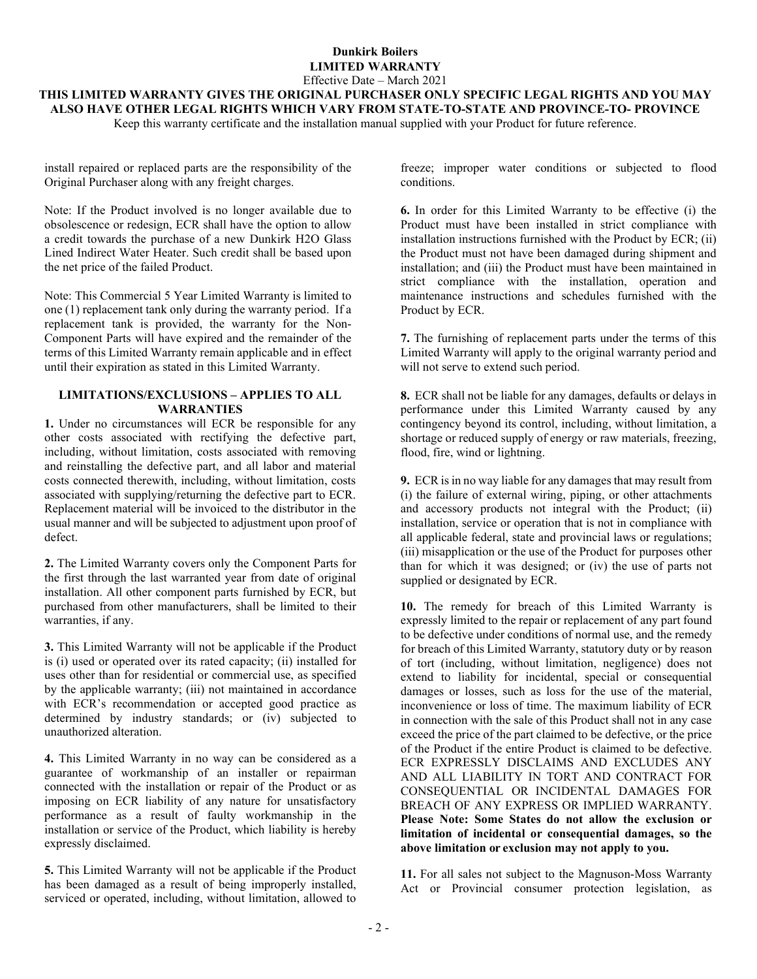## **Dunkirk Boilers LIMITED WARRANTY** Effective Date – March 2021

**THIS LIMITED WARRANTY GIVES THE ORIGINAL PURCHASER ONLY SPECIFIC LEGAL RIGHTS AND YOU MAY ALSO HAVE OTHER LEGAL RIGHTS WHICH VARY FROM STATE-TO-STATE AND PROVINCE-TO- PROVINCE**

Keep this warranty certificate and the installation manual supplied with your Product for future reference.

install repaired or replaced parts are the responsibility of the Original Purchaser along with any freight charges.

Note: If the Product involved is no longer available due to obsolescence or redesign, ECR shall have the option to allow a credit towards the purchase of a new Dunkirk H2O Glass Lined Indirect Water Heater. Such credit shall be based upon the net price of the failed Product.

Note: This Commercial 5 Year Limited Warranty is limited to one (1) replacement tank only during the warranty period. If a replacement tank is provided, the warranty for the Non-Component Parts will have expired and the remainder of the terms of this Limited Warranty remain applicable and in effect until their expiration as stated in this Limited Warranty.

## **LIMITATIONS/EXCLUSIONS – APPLIES TO ALL WARRANTIES**

**1.** Under no circumstances will ECR be responsible for any other costs associated with rectifying the defective part, including, without limitation, costs associated with removing and reinstalling the defective part, and all labor and material costs connected therewith, including, without limitation, costs associated with supplying/returning the defective part to ECR. Replacement material will be invoiced to the distributor in the usual manner and will be subjected to adjustment upon proof of defect.

**2.** The Limited Warranty covers only the Component Parts for the first through the last warranted year from date of original installation. All other component parts furnished by ECR, but purchased from other manufacturers, shall be limited to their warranties, if any.

**3.** This Limited Warranty will not be applicable if the Product is (i) used or operated over its rated capacity; (ii) installed for uses other than for residential or commercial use, as specified by the applicable warranty; (iii) not maintained in accordance with ECR's recommendation or accepted good practice as determined by industry standards; or (iv) subjected to unauthorized alteration.

**4.** This Limited Warranty in no way can be considered as a guarantee of workmanship of an installer or repairman connected with the installation or repair of the Product or as imposing on ECR liability of any nature for unsatisfactory performance as a result of faulty workmanship in the installation or service of the Product, which liability is hereby expressly disclaimed.

**5.** This Limited Warranty will not be applicable if the Product has been damaged as a result of being improperly installed, serviced or operated, including, without limitation, allowed to

freeze; improper water conditions or subjected to flood conditions.

**6.** In order for this Limited Warranty to be effective (i) the Product must have been installed in strict compliance with installation instructions furnished with the Product by ECR; (ii) the Product must not have been damaged during shipment and installation; and (iii) the Product must have been maintained in strict compliance with the installation, operation and maintenance instructions and schedules furnished with the Product by ECR.

**7.** The furnishing of replacement parts under the terms of this Limited Warranty will apply to the original warranty period and will not serve to extend such period.

**8.** ECR shall not be liable for any damages, defaults or delays in performance under this Limited Warranty caused by any contingency beyond its control, including, without limitation, a shortage or reduced supply of energy or raw materials, freezing, flood, fire, wind or lightning.

**9.** ECR is in no way liable for any damages that may result from (i) the failure of external wiring, piping, or other attachments and accessory products not integral with the Product; (ii) installation, service or operation that is not in compliance with all applicable federal, state and provincial laws or regulations; (iii) misapplication or the use of the Product for purposes other than for which it was designed; or (iv) the use of parts not supplied or designated by ECR.

**10.** The remedy for breach of this Limited Warranty is expressly limited to the repair or replacement of any part found to be defective under conditions of normal use, and the remedy for breach of this Limited Warranty, statutory duty or by reason of tort (including, without limitation, negligence) does not extend to liability for incidental, special or consequential damages or losses, such as loss for the use of the material, inconvenience or loss of time. The maximum liability of ECR in connection with the sale of this Product shall not in any case exceed the price of the part claimed to be defective, or the price of the Product if the entire Product is claimed to be defective. ECR EXPRESSLY DISCLAIMS AND EXCLUDES ANY AND ALL LIABILITY IN TORT AND CONTRACT FOR CONSEQUENTIAL OR INCIDENTAL DAMAGES FOR BREACH OF ANY EXPRESS OR IMPLIED WARRANTY. **Please Note: Some States do not allow the exclusion or limitation of incidental or consequential damages, so the above limitation or exclusion may not apply to you.**

**11.** For all sales not subject to the Magnuson-Moss Warranty Act or Provincial consumer protection legislation, as